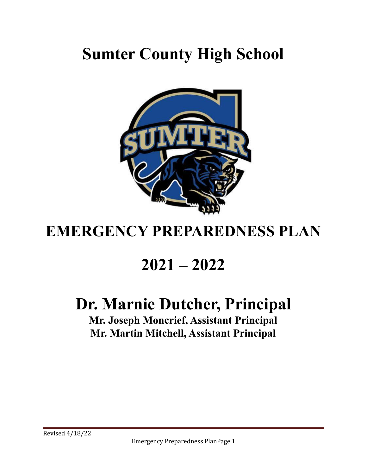# **Sumter County High School**



# **EMERGENCY PREPAREDNESS PLAN**

# **2021 – 2022**

# **Dr. Marnie Dutcher, Principal**

**Mr. Joseph Moncrief, Assistant Principal Mr. Martin Mitchell, Assistant Principal**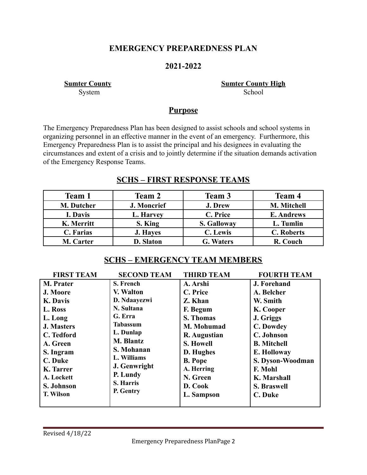## **EMERGENCY PREPAREDNESS PLAN**

## **2021-2022**

**Sumter County Sumter County High** System School

## **Purpose**

The Emergency Preparedness Plan has been designed to assist schools and school systems in organizing personnel in an effective manner in the event of an emergency. Furthermore, this Emergency Preparedness Plan is to assist the principal and his designees in evaluating the circumstances and extent of a crisis and to jointly determine if the situation demands activation of the Emergency Response Teams.

## **SCHS – FIRST RESPONSE TEAMS**

| Team 1           | Team 2          | Team 3             | <b>Team 4</b>     |
|------------------|-----------------|--------------------|-------------------|
| M. Dutcher       | J. Moncrief     | J. Drew            | M. Mitchell       |
| I. Davis         | L. Harvey       | C. Price           | <b>E. Andrews</b> |
| K. Merritt       | S. King         | <b>S. Galloway</b> | L. Tumlin         |
| C. Farias        | <b>J. Haves</b> | C. Lewis           | <b>C.</b> Roberts |
| <b>M.</b> Carter | D. Slaton       | <b>G.</b> Waters   | R. Couch          |

## **SCHS – EMERGENCY TEAM MEMBERS**

| <b>FIRST TEAM</b> | <b>SECOND TEAM</b> | <b>THIRD TEAM</b> | <b>FOURTH TEAM</b> |
|-------------------|--------------------|-------------------|--------------------|
| <b>M.</b> Prater  | S. French          | A. Arshi          | <b>J. Forehand</b> |
| J. Moore          | V. Walton          | C. Price          | A. Belcher         |
| K. Davis          | D. Ndaayezwi       | Z. Khan           | W. Smith           |
| L. Ross           | N. Sultana         | F. Begum          | K. Cooper          |
| L. Long           | G. Erra            | <b>S. Thomas</b>  | J. Griggs          |
| <b>J. Masters</b> | <b>Tabassum</b>    | M. Mohumad        | C. Dowdey          |
| C. Tedford        | L. Dunlap          | R. Augustian      | C. Johnson         |
| A. Green          | <b>M. Blantz</b>   | <b>S. Howell</b>  | <b>B.</b> Mitchell |
| S. Ingram         | S. Mohanan         | D. Hughes         | E. Holloway        |
| C. Duke           | L. Williams        | <b>B.</b> Pope    | S. Dyson-Woodman   |
| K. Tarrer         | J. Genwright       | A. Herring        | F. Mohl            |
| A. Lockett        | P. Lundy           | N. Green          | K. Marshall        |
| S. Johnson        | S. Harris          | D. Cook           | <b>S. Braswell</b> |
| <b>T. Wilson</b>  | P. Gentry          | L. Sampson        | C. Duke            |
|                   |                    |                   |                    |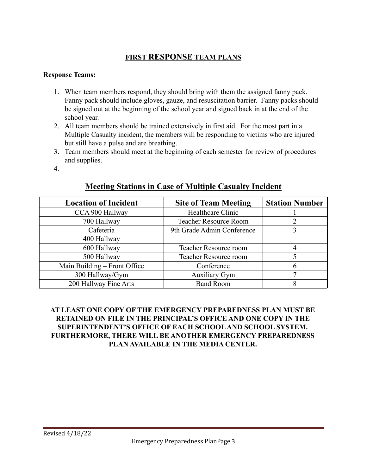## **FIRST RESPONSE TEAM PLANS**

#### **Response Teams:**

- 1. When team members respond, they should bring with them the assigned fanny pack. Fanny pack should include gloves, gauze, and resuscitation barrier. Fanny packs should be signed out at the beginning of the school year and signed back in at the end of the school year.
- 2. All team members should be trained extensively in first aid. For the most part in a Multiple Casualty incident, the members will be responding to victims who are injured but still have a pulse and are breathing.
- 3. Team members should meet at the beginning of each semester for review of procedures and supplies.
- 4.

## **Meeting Stations in Case of Multiple Casualty Incident**

| <b>Location of Incident</b>  | <b>Site of Team Meeting</b>  | <b>Station Number</b> |
|------------------------------|------------------------------|-----------------------|
| CCA 900 Hallway              | Healthcare Clinic            |                       |
| 700 Hallway                  | <b>Teacher Resource Room</b> |                       |
| Cafeteria                    | 9th Grade Admin Conference   |                       |
| 400 Hallway                  |                              |                       |
| 600 Hallway                  | <b>Teacher Resource room</b> |                       |
| 500 Hallway                  | <b>Teacher Resource room</b> |                       |
| Main Building – Front Office | Conference                   | h                     |
| 300 Hallway/Gym              | <b>Auxiliary Gym</b>         |                       |
| 200 Hallway Fine Arts        | <b>Band Room</b>             |                       |

#### **AT LEAST ONE COPY OF THE EMERGENCY PREPAREDNESS PLAN MUST BE RETAINED ON FILE IN THE PRINCIPAL'S OFFICE AND ONE COPY IN THE SUPERINTENDENT'S OFFICE OF EACH SCHOOL AND SCHOOL SYSTEM. FURTHERMORE, THERE WILL BE ANOTHER EMERGENCY PREPAREDNESS PLAN AVAILABLE IN THE MEDIA CENTER.**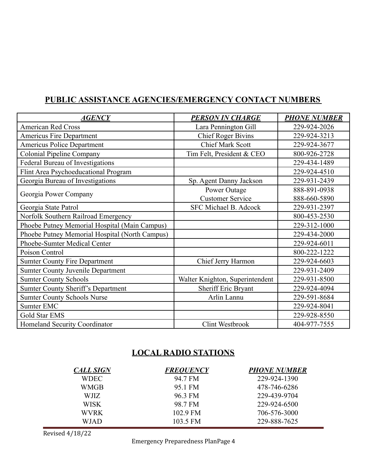# **PUBLIC ASSISTANCE AGENCIES/EMERGENCY CONTACT NUMBERS**

| <b>AGENCY</b>                                  | <b>PERSON IN CHARGE</b>         | <b>PHONE NUMBER</b> |
|------------------------------------------------|---------------------------------|---------------------|
| <b>American Red Cross</b>                      | Lara Pennington Gill            | 229-924-2026        |
| <b>Americus Fire Department</b>                | <b>Chief Roger Bivins</b>       | 229-924-3213        |
| <b>Americus Police Department</b>              | <b>Chief Mark Scott</b>         | 229-924-3677        |
| <b>Colonial Pipeline Company</b>               | Tim Felt, President & CEO       | 800-926-2728        |
| Federal Bureau of Investigations               |                                 | 229-434-1489        |
| Flint Area Psychoeducational Program           |                                 | 229-924-4510        |
| Georgia Bureau of Investigations               | Sp. Agent Danny Jackson         | 229-931-2439        |
|                                                | Power Outage                    | 888-891-0938        |
| Georgia Power Company                          | <b>Customer Service</b>         | 888-660-5890        |
| Georgia State Patrol                           | SFC Michael B. Adcock           | 229-931-2397        |
| Norfolk Southern Railroad Emergency            |                                 | 800-453-2530        |
| Phoebe Putney Memorial Hospital (Main Campus)  |                                 | 229-312-1000        |
| Phoebe Putney Memorial Hospital (North Campus) |                                 | 229-434-2000        |
| Phoebe-Sumter Medical Center                   |                                 | 229-924-6011        |
| Poison Control                                 |                                 | 800-222-1222        |
| <b>Sumter County Fire Department</b>           | Chief Jerry Harmon              | 229-924-6603        |
| <b>Sumter County Juvenile Department</b>       |                                 | 229-931-2409        |
| <b>Sumter County Schools</b>                   | Walter Knighton, Superintendent | 229-931-8500        |
| <b>Sumter County Sheriff's Department</b>      | Sheriff Eric Bryant             | 229-924-4094        |
| <b>Sumter County Schools Nurse</b>             | Arlin Lannu                     | 229-591-8684        |
| Sumter EMC                                     |                                 | 229-924-8041        |
| Gold Star EMS                                  |                                 | 229-928-8550        |
| Homeland Security Coordinator                  | Clint Westbrook                 | 404-977-7555        |

## **LOCAL RADIO STATIONS**

| <b>CALL SIGN</b> | <b>FREOUENCY</b> | <b>PHONE NUMBER</b> |
|------------------|------------------|---------------------|
| WDEC-            | 94 7 FM          | 229-924-1390        |
| WMGB             | 95.1 FM          | 478-746-6286        |
| WJIZ.            | 96.3 FM          | 229-439-9704        |
| <b>WISK</b>      | 98.7 FM          | 229-924-6500        |
| WVRK.            | 102 9 FM         | 706-576-3000        |
| WJAD             | 103.5 FM         | 229-888-7625        |

Revised 4/18/22

Emergency Preparedness PlanPage 4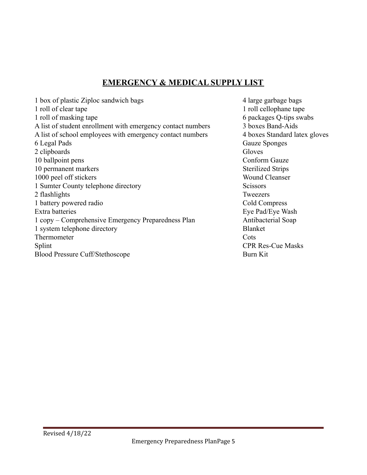## **EMERGENCY & MEDICAL SUPPLY LIST**

| 1 box of plastic Ziploc sandwich bags                       | 4 large ga      |
|-------------------------------------------------------------|-----------------|
| 1 roll of clear tape                                        | 1 roll cell     |
| 1 roll of masking tape                                      | 6 package       |
| A list of student enrollment with emergency contact numbers | 3 boxes E       |
| A list of school employees with emergency contact numbers   | 4 boxes S       |
| 6 Legal Pads                                                | Gauze Sp        |
| 2 clipboards                                                | Gloves          |
| 10 ballpoint pens                                           | Conform         |
| 10 permanent markers                                        | Sterilized      |
| 1000 peel off stickers                                      | Wound C         |
| 1 Sumter County telephone directory                         | Scissors        |
| 2 flashlights                                               | Tweezers        |
| 1 battery powered radio                                     | Cold Con        |
| Extra batteries                                             | Eye Pad/I       |
| 1 copy – Comprehensive Emergency Preparedness Plan          | Antibacte       |
| 1 system telephone directory                                | Blanket         |
| Thermometer                                                 | Cots            |
| Splint                                                      | <b>CPR</b> Res- |
| <b>Blood Pressure Cuff/Stethoscope</b>                      | Burn Kit        |

4 large garbage bags 1 roll cellophane tape 6 packages Q-tips swabs  $3 boxes Band-Aids$ 4 boxes Standard latex gloves Gauze Sponges Conform Gauze **Sterilized Strips** Wound Cleanser **Tweezers** Cold Compress Eye Pad/Eye Wash Antibacterial Soap **CPR Res-Cue Masks**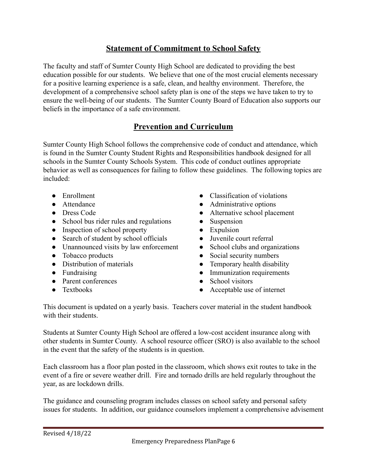# **Statement of Commitment to School Safety**

The faculty and staff of Sumter County High School are dedicated to providing the best education possible for our students. We believe that one of the most crucial elements necessary for a positive learning experience is a safe, clean, and healthy environment. Therefore, the development of a comprehensive school safety plan is one of the steps we have taken to try to ensure the well-being of our students. The Sumter County Board of Education also supports our beliefs in the importance of a safe environment.

## **Prevention and Curriculum**

Sumter County High School follows the comprehensive code of conduct and attendance, which is found in the Sumter County Student Rights and Responsibilities handbook designed for all schools in the Sumter County Schools System. This code of conduct outlines appropriate behavior as well as consequences for failing to follow these guidelines. The following topics are included:

- 
- 
- 
- School bus rider rules and regulations Suspension
- Inspection of school property Expulsion
- Search of student by school officials Juvenile court referral
- Unannounced visits by law enforcement School clubs and organizations
- 
- 
- 
- Parent conferences School visitors
- 
- Enrollment Classification of violations
- Attendance **Administrative options**
- Dress Code Alternative school placement
	-
	-
	-
	-
- Tobacco products Social security numbers
- Distribution of materials Temporary health disability
- Fundraising Immunization requirements
	-
- Textbooks Acceptable use of internet

This document is updated on a yearly basis. Teachers cover material in the student handbook with their students

Students at Sumter County High School are offered a low-cost accident insurance along with other students in Sumter County. A school resource officer (SRO) is also available to the school in the event that the safety of the students is in question.

Each classroom has a floor plan posted in the classroom, which shows exit routes to take in the event of a fire or severe weather drill. Fire and tornado drills are held regularly throughout the year, as are lockdown drills.

The guidance and counseling program includes classes on school safety and personal safety issues for students. In addition, our guidance counselors implement a comprehensive advisement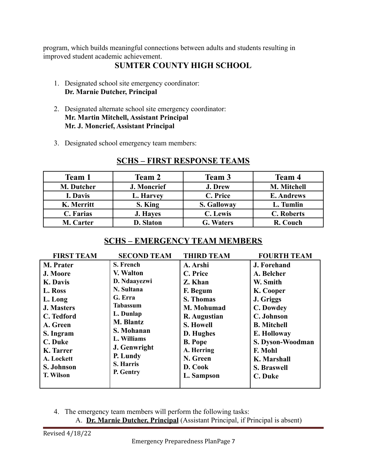program, which builds meaningful connections between adults and students resulting in improved student academic achievement.

# **SUMTER COUNTY HIGH SCHOOL**

- 1. Designated school site emergency coordinator: **Dr. Marnie Dutcher, Principal**
- 2. Designated alternate school site emergency coordinator: **Mr. Martin Mitchell, Assistant Principal Mr. J. Moncrief, Assistant Principal**
- 3. Designated school emergency team members:

| Team 1     | <b>Team 2</b>    | Team 3             | Team 4            |
|------------|------------------|--------------------|-------------------|
| M. Dutcher | J. Moncrief      | J. Drew            | M. Mitchell       |
| I. Davis   | L. Harvey        | C. Price           | <b>E. Andrews</b> |
| K. Merritt | S. King          | <b>S. Galloway</b> | L. Tumlin         |
| C. Farias  | <b>J. Haves</b>  | C. Lewis           | <b>C.</b> Roberts |
| M. Carter  | <b>D. Slaton</b> | <b>G. Waters</b>   | R. Couch          |

# **SCHS – FIRST RESPONSE TEAMS**

# **SCHS – EMERGENCY TEAM MEMBERS**

4. The emergency team members will perform the following tasks:

A. **Dr. Marnie Dutcher, Principal** (Assistant Principal, if Principal is absent)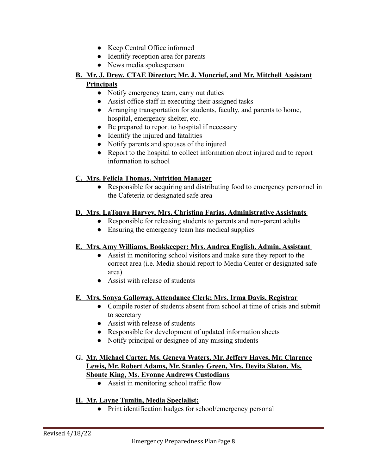- Keep Central Office informed
- Identify reception area for parents
- News media spokesperson

#### **B. Mr. J. Drew, CTAE Director; Mr. J. Moncrief, and Mr. Mitchell Assistant Principals**

- Notify emergency team, carry out duties
- Assist office staff in executing their assigned tasks
- Arranging transportation for students, faculty, and parents to home, hospital, emergency shelter, etc.
- Be prepared to report to hospital if necessary
- Identify the injured and fatalities
- Notify parents and spouses of the injured
- Report to the hospital to collect information about injured and to report information to school

#### **C. Mrs. Felicia Thomas, Nutrition Manager**

● Responsible for acquiring and distributing food to emergency personnel in the Cafeteria or designated safe area

#### **D. Mrs. LaTonya Harvey, Mrs. Christina Farias, Administrative Assistants**

- Responsible for releasing students to parents and non-parent adults
- Ensuring the emergency team has medical supplies

#### **E. Mrs. Amy Williams, Bookkeeper; Mrs. Andrea English, Admin. Assistant**

- Assist in monitoring school visitors and make sure they report to the correct area (i.e. Media should report to Media Center or designated safe area)
- Assist with release of students

#### **F. Mrs. Sonya Galloway, Attendance Clerk; Mrs. Irma Davis, Registrar**

- Compile roster of students absent from school at time of crisis and submit to secretary
- Assist with release of students
- Responsible for development of updated information sheets
- Notify principal or designee of any missing students

#### **G. Mr. Michael Carter, Ms. Geneva Waters, Mr. Jeffery Hayes, Mr. Clarence Lewis, Mr. Robert Adams, Mr. Stanley Green, Mrs. Devita Slaton, Ms. Shonte King, Ms. Evonne Andrews Custodians**

● Assist in monitoring school traffic flow

#### **H. Mr. Layne Tumlin, Media Specialist;**

**●** Print identification badges for school/emergency personal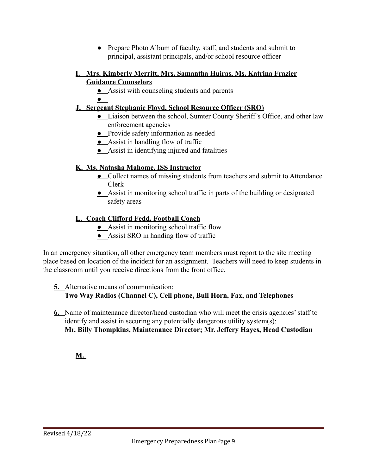**●** Prepare Photo Album of faculty, staff, and students and submit to principal, assistant principals, and/or school resource officer

#### **I. Mrs. Kimberly Merritt, Mrs. Samantha Huiras, Ms. Katrina Frazier Guidance Counselors**

**●** Assist with counseling students and parents

**●**

## **J. Sergeant Stephanie Floyd, School Resource Officer (SRO)**

- **●** Liaison between the school, Sumter County Sheriff's Office, and other law enforcement agencies
- **●** Provide safety information as needed
- **●** Assist in handling flow of traffic
- **●** Assist in identifying injured and fatalities

## **K. Ms. Natasha Mahome, ISS Instructor**

- **●** Collect names of missing students from teachers and submit to Attendance Clerk
- **●** Assist in monitoring school traffic in parts of the building or designated safety areas

## **L. Coach Clifford Fedd, Football Coach**

- **●** Assist in monitoring school traffic flow
- **●** Assist SRO in handing flow of traffic

In an emergency situation, all other emergency team members must report to the site meeting place based on location of the incident for an assignment. Teachers will need to keep students in the classroom until you receive directions from the front office.

#### **5.** Alternative means of communication:

**Two Way Radios (Channel C), Cell phone, Bull Horn, Fax, and Telephones**

**6.** Name of maintenance director/head custodian who will meet the crisis agencies' staff to identify and assist in securing any potentially dangerous utility system(s): **Mr. Billy Thompkins, Maintenance Director; Mr. Jeffery Hayes, Head Custodian**

**M.**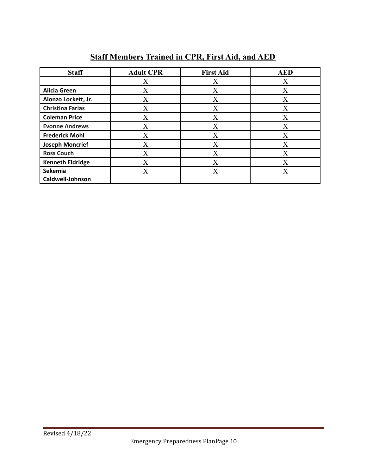# **Staff Members Trained in CPR, First Aid, and AED**

| <b>Staff</b>            | <b>Adult CPR</b> | <b>First Aid</b> | <b>AED</b> |
|-------------------------|------------------|------------------|------------|
|                         | X                | X                | X          |
| <b>Alicia Green</b>     | X                | X                | X          |
| Alonzo Lockett, Jr.     | X                | X                | X          |
| <b>Christina Farias</b> | X                | X                | X          |
| <b>Coleman Price</b>    | $\rm X$          | X                | X          |
| <b>Evonne Andrews</b>   | X                | X                | X          |
| <b>Frederick Mohl</b>   | X                | X                | X          |
| <b>Joseph Moncrief</b>  | X                | X                | X          |
| <b>Ross Couch</b>       | X                | X                | $\rm X$    |
| <b>Kenneth Eldridge</b> | X                | X                | Х          |
| Sekemia                 | X                | X                | X          |
| Caldwell-Johnson        |                  |                  |            |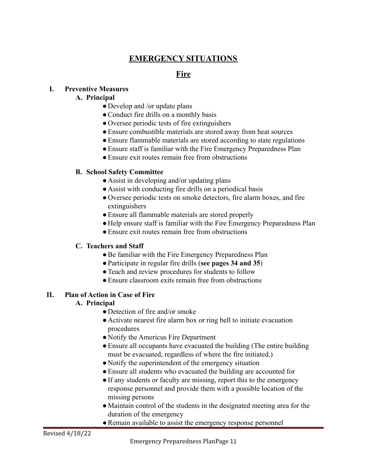# **EMERGENCY SITUATIONS**

## **Fire**

#### **I. Preventive Measures**

#### **A. Principal**

- Develop and /or update plans
- ●Conduct fire drills on a monthly basis
- Oversee periodic tests of fire extinguishers
- ●Ensure combustible materials are stored away from heat sources
- Ensure flammable materials are stored according to state regulations
- Ensure staff is familiar with the Fire Emergency Preparedness Plan
- Ensure exit routes remain free from obstructions

#### **B. School Safety Committee**

- Assist in developing and/or updating plans
- Assist with conducting fire drills on a periodical basis
- Oversee periodic tests on smoke detectors, fire alarm boxes, and fire extinguishers
- Ensure all flammable materials are stored properly
- Help ensure staff is familiar with the Fire Emergency Preparedness Plan
- Ensure exit routes remain free from obstructions

#### **C. Teachers and Staff**

- Be familiar with the Fire Emergency Preparedness Plan
- ●Participate in regular fire drills (**see pages 34 and 35**)
- ●Teach and review procedures for students to follow
- ●Ensure classroom exits remain free from obstructions

#### **II. Plan of Action in Case of Fire**

#### **A. Principal**

- Detection of fire and/or smoke
- Activate nearest fire alarm box or ring bell to initiate evacuation procedures
- Notify the Americus Fire Department
- Ensure all occupants have evacuated the building (The entire building must be evacuated, regardless of where the fire initiated.)
- Notify the superintendent of the emergency situation
- ●Ensure all students who evacuated the building are accounted for
- If any students or faculty are missing, report this to the emergency response personnel and provide them with a possible location of the missing persons
- ●Maintain control of the students in the designated meeting area for the duration of the emergency
- Remain available to assist the emergency response personnel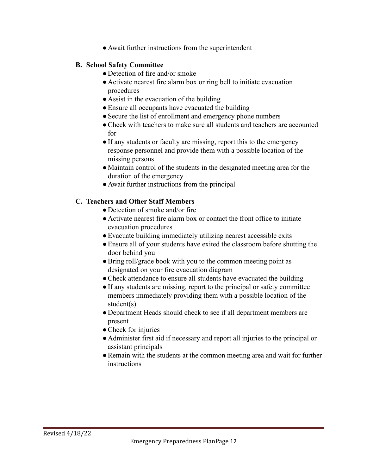● Await further instructions from the superintendent

#### **B. School Safety Committee**

- Detection of fire and/or smoke
- Activate nearest fire alarm box or ring bell to initiate evacuation procedures
- Assist in the evacuation of the building
- Ensure all occupants have evacuated the building
- Secure the list of enrollment and emergency phone numbers
- ●Check with teachers to make sure all students and teachers are accounted for
- ●If any students or faculty are missing, report this to the emergency response personnel and provide them with a possible location of the missing persons
- Maintain control of the students in the designated meeting area for the duration of the emergency
- Await further instructions from the principal

#### **C. Teachers and Other Staff Members**

- Detection of smoke and/or fire
- Activate nearest fire alarm box or contact the front office to initiate evacuation procedures
- ●Evacuate building immediately utilizing nearest accessible exits
- Ensure all of your students have exited the classroom before shutting the door behind you
- Bring roll/grade book with you to the common meeting point as designated on your fire evacuation diagram
- Check attendance to ensure all students have evacuated the building
- ●If any students are missing, report to the principal or safety committee members immediately providing them with a possible location of the student(s)
- Department Heads should check to see if all department members are present
- Check for injuries
- Administer first aid if necessary and report all injuries to the principal or assistant principals
- Remain with the students at the common meeting area and wait for further instructions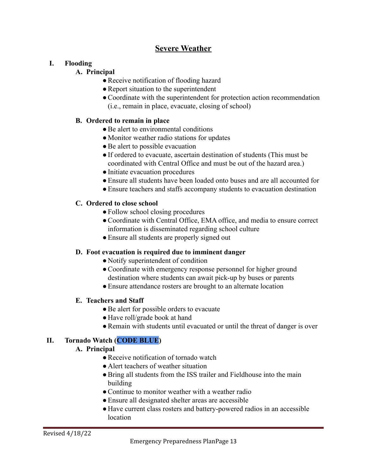# **Severe Weather**

#### **I. Flooding**

#### **A. Principal**

- ●Receive notification of flooding hazard
- Report situation to the superintendent
- ●Coordinate with the superintendent for protection action recommendation (i.e., remain in place, evacuate, closing of school)

### **B. Ordered to remain in place**

- Be alert to environmental conditions
- Monitor weather radio stations for updates
- Be alert to possible evacuation
- ●If ordered to evacuate, ascertain destination of students (This must be coordinated with Central Office and must be out of the hazard area.)
- Initiate evacuation procedures
- ●Ensure all students have been loaded onto buses and are all accounted for
- ●Ensure teachers and staffs accompany students to evacuation destination

## **C. Ordered to close school**

- Follow school closing procedures
- ●Coordinate with Central Office, EMA office, and media to ensure correct information is disseminated regarding school culture
- Ensure all students are properly signed out

#### **D. Foot evacuation is required due to imminent danger**

- Notify superintendent of condition
- Coordinate with emergency response personnel for higher ground destination where students can await pick-up by buses or parents
- ●Ensure attendance rosters are brought to an alternate location

#### **E. Teachers and Staff**

- Be alert for possible orders to evacuate
- Have roll/grade book at hand
- Remain with students until evacuated or until the threat of danger is over

## **II. Tornado Watch (CODE BLUE)**

#### **A. Principal**

- ●Receive notification of tornado watch
- Alert teachers of weather situation
- Bring all students from the ISS trailer and Fieldhouse into the main building
- Continue to monitor weather with a weather radio
- Ensure all designated shelter areas are accessible
- Have current class rosters and battery-powered radios in an accessible location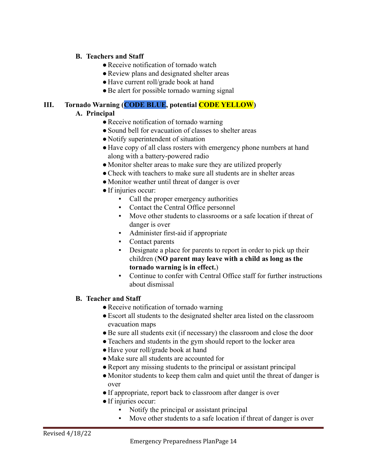#### **B. Teachers and Staff**

- Receive notification of tornado watch
- Review plans and designated shelter areas
- Have current roll/grade book at hand
- Be alert for possible tornado warning signal

# **III. Tornado Warning (CODE BLUE, potential CODE YELLOW)**

#### **A. Principal**

- Receive notification of tornado warning
- Sound bell for evacuation of classes to shelter areas
- Notify superintendent of situation
- Have copy of all class rosters with emergency phone numbers at hand along with a battery-powered radio
- Monitor shelter areas to make sure they are utilized properly
- Check with teachers to make sure all students are in shelter areas
- Monitor weather until threat of danger is over
- ●If injuries occur:
	- Call the proper emergency authorities
	- Contact the Central Office personnel
	- Move other students to classrooms or a safe location if threat of danger is over
	- **•** Administer first-aid if appropriate
	- Contact parents
	- Designate a place for parents to report in order to pick up their children (**NO parent may leave with a child as long as the tornado warning is in effect.**)
	- Continue to confer with Central Office staff for further instructions about dismissal

#### **B. Teacher and Staff**

- Receive notification of tornado warning
- ●Escort all students to the designated shelter area listed on the classroom evacuation maps
- ●Be sure all students exit (if necessary) the classroom and close the door
- Teachers and students in the gym should report to the locker area
- Have your roll/grade book at hand
- ●Make sure all students are accounted for
- Report any missing students to the principal or assistant principal
- Monitor students to keep them calm and quiet until the threat of danger is over
- If appropriate, report back to classroom after danger is over
- ●If injuries occur:
	- Notify the principal or assistant principal
	- Move other students to a safe location if threat of danger is over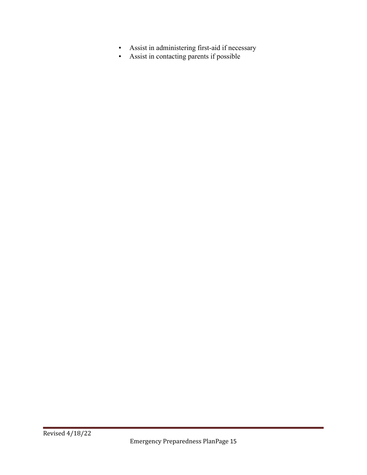- **•** Assist in administering first-aid if necessary
- Assist in contacting parents if possible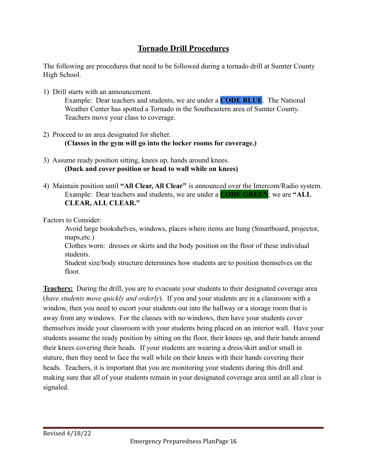# **Tornado Drill Procedures**

The following are procedures that need to be followed during a tornado drill at Sumter County High School.

1) Drill starts with an announcement.

Example: Dear teachers and students, we are under a **CODE BLUE**. The National Weather Center has spotted a Tornado in the Southeastern area of Sumter County. Teachers move your class to coverage.

- 2) Proceed to an area designated for shelter. **(Classes in the gym will go into the locker rooms for coverage.)**
- 3) Assume ready position sitting, knees up, hands around knees. **(Duck and cover position or head to wall while on knees)**
- 4) Maintain position until **"All Clear, All Clear"** is announced over the Intercom/Radio system. Example: Dear teachers and students, we are under a **CODE GREEN**; we are **"ALL CLEAR, ALL CLEAR."**

Factors to Consider:

Avoid large bookshelves, windows, places where items are hung (Smartboard, projector, maps,etc.)

Clothes worn: dresses or skirts and the body position on the floor of these individual students.

Student size/body structure determines how students are to position themselves on the floor.

**Teachers:** During the drill, you are to evacuate your students to their designated coverage area (*have students move quickly and orderly*). If you and your students are in a classroom with a window, then you need to escort your students out into the hallway or a storage room that is away from any windows. For the classes with no windows, then have your students cover themselves inside your classroom with your students being placed on an interior wall. Have your students assume the ready position by sitting on the floor, their knees up, and their hands around their knees covering their heads. If your students are wearing a dress/skirt and/or small in stature, then they need to face the wall while on their knees with their hands covering their heads. Teachers, it is important that you are monitoring your students during this drill and making sure that all of your students remain in your designated coverage area until an all clear is signaled.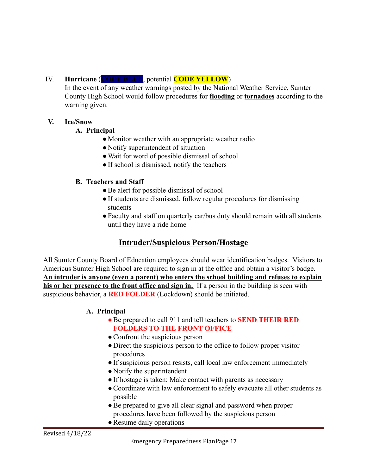## IV. **Hurricane** (**CODE BLUE**, potential **CODE YELLOW**)

In the event of any weather warnings posted by the National Weather Service, Sumter County High School would follow procedures for **flooding** or **tornadoes** according to the warning given.

#### **V. Ice/Snow**

#### **A. Principal**

- Monitor weather with an appropriate weather radio
- Notify superintendent of situation
- ●Wait for word of possible dismissal of school
- ●If school is dismissed, notify the teachers

#### **B. Teachers and Staff**

- **●**Be alert for possible dismissal of school
- **●**If students are dismissed, follow regular procedures for dismissing students
- **●**Faculty and staff on quarterly car/bus duty should remain with all students until they have a ride home

## **Intruder/Suspicious Person/Hostage**

All Sumter County Board of Education employees should wear identification badges. Visitors to Americus Sumter High School are required to sign in at the office and obtain a visitor's badge. **An intruder is anyone (even a parent) who enters the school building and refuses to explain his or her presence to the front office and sign in.** If a person in the building is seen with suspicious behavior, a **RED FOLDER** (Lockdown) should be initiated.

#### **A. Principal**

- ●Be prepared to call 911 and tell teachers to **SEND THEIR RED FOLDERS TO THE FRONT OFFICE**
- Confront the suspicious person
- Direct the suspicious person to the office to follow proper visitor procedures
- ●If suspicious person resists, call local law enforcement immediately
- Notify the superintendent
- If hostage is taken: Make contact with parents as necessary
- ●Coordinate with law enforcement to safely evacuate all other students as possible
- Be prepared to give all clear signal and password when proper procedures have been followed by the suspicious person
- Resume daily operations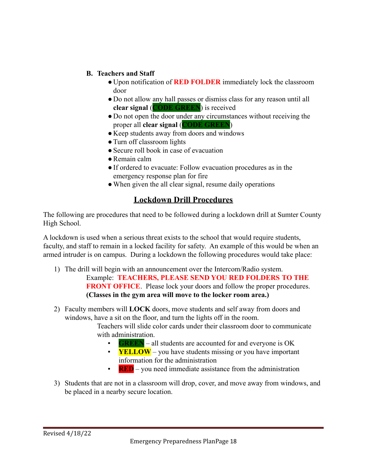#### **B. Teachers and Staff**

- Upon notification of **RED FOLDER** immediately lock the classroom door
- Do not allow any hall passes or dismiss class for any reason until all **clear signal** (**CODE GREEN**) is received
- Do not open the door under any circumstances without receiving the proper all **clear signal** (**CODE GREEN**)
- Keep students away from doors and windows
- ●Turn off classroom lights
- Secure roll book in case of evacuation
- ●Remain calm
- ●If ordered to evacuate: Follow evacuation procedures as in the emergency response plan for fire
- When given the all clear signal, resume daily operations

## **Lockdown Drill Procedures**

The following are procedures that need to be followed during a lockdown drill at Sumter County High School.

A lockdown is used when a serious threat exists to the school that would require students, faculty, and staff to remain in a locked facility for safety. An example of this would be when an armed intruder is on campus. During a lockdown the following procedures would take place:

- 1) The drill will begin with an announcement over the Intercom/Radio system. Example: **TEACHERS, PLEASE SEND YOU RED FOLDERS TO THE FRONT OFFICE**. Please lock your doors and follow the proper procedures. **(Classes in the gym area will move to the locker room area.)**
- 2) Faculty members will **LOCK** doors, move students and self away from doors and windows, have a sit on the floor, and turn the lights off in the room.

Teachers will slide color cards under their classroom door to communicate with administration.

- **GREEN** all students are accounted for and everyone is OK
- **YELLOW** you have students missing or you have important information for the administration
- **RED** you need immediate assistance from the administration
- 3) Students that are not in a classroom will drop, cover, and move away from windows, and be placed in a nearby secure location.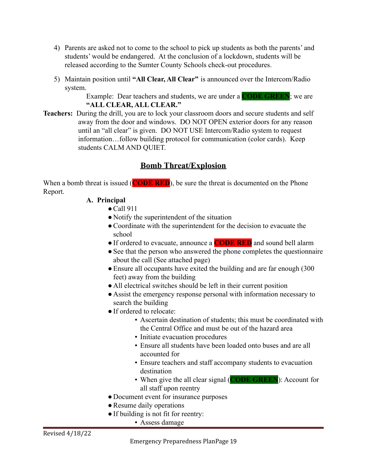- 4) Parents are asked not to come to the school to pick up students as both the parents' and students' would be endangered. At the conclusion of a lockdown, students will be released according to the Sumter County Schools check-out procedures.
- 5) Maintain position until **"All Clear, All Clear"** is announced over the Intercom/Radio system.

Example: Dear teachers and students, we are under a **CODE GREEN**; we are **"ALL CLEAR, ALL CLEAR."**

**Teachers:** During the drill, you are to lock your classroom doors and secure students and self away from the door and windows. DO NOT OPEN exterior doors for any reason until an "all clear" is given. DO NOT USE Intercom/Radio system to request information…follow building protocol for communication (color cards). Keep students CALM AND QUIET.

# **Bomb Threat/Explosion**

When a bomb threat is issued (**CODE RED**), be sure the threat is documented on the Phone Report.

#### **A. Principal**

- $\bullet$  Call 911
- Notify the superintendent of the situation
- ●Coordinate with the superintendent for the decision to evacuate the school
- ●If ordered to evacuate, announce a **CODE RED** and sound bell alarm
- See that the person who answered the phone completes the questionnaire about the call (See attached page)
- Ensure all occupants have exited the building and are far enough (300) feet) away from the building
- All electrical switches should be left in their current position
- Assist the emergency response personal with information necessary to search the building
- ●If ordered to relocate:
	- Ascertain destination of students; this must be coordinated with the Central Office and must be out of the hazard area
	- Initiate evacuation procedures
	- Ensure all students have been loaded onto buses and are all accounted for
	- Ensure teachers and staff accompany students to evacuation destination
	- When give the all clear signal (**CODE GREEN**): Account for all staff upon reentry
- Document event for insurance purposes
- Resume daily operations
- If building is not fit for reentry:
	- Assess damage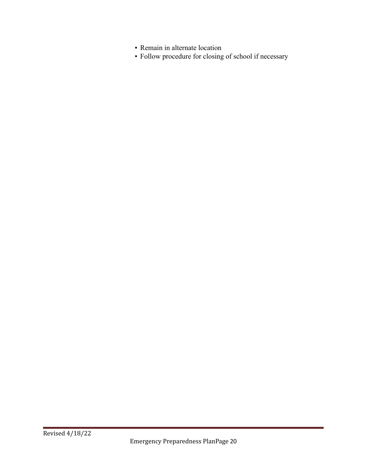- Remain in alternate location
- Follow procedure for closing of school if necessary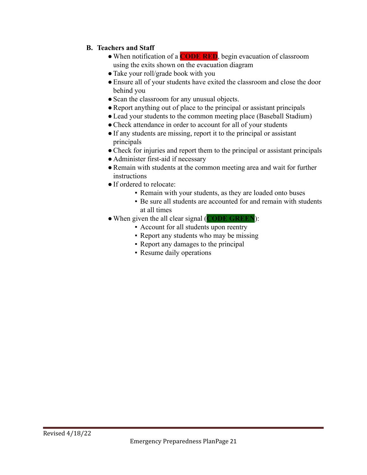### **B. Teachers and Staff**

- ●When notification of a **CODE RED**, begin evacuation of classroom using the exits shown on the evacuation diagram
- Take your roll/grade book with you
- ●Ensure all of your students have exited the classroom and close the door behind you
- Scan the classroom for any unusual objects.
- ●Report anything out of place to the principal or assistant principals
- Lead your students to the common meeting place (Baseball Stadium)
- Check attendance in order to account for all of your students
- ●If any students are missing, report it to the principal or assistant principals
- Check for injuries and report them to the principal or assistant principals
- Administer first-aid if necessary
- Remain with students at the common meeting area and wait for further instructions
- ●If ordered to relocate:
	- Remain with your students, as they are loaded onto buses
	- Be sure all students are accounted for and remain with students at all times
- ●When given the all clear signal (**CODE GREEN**):
	- Account for all students upon reentry
	- Report any students who may be missing
	- Report any damages to the principal
	- Resume daily operations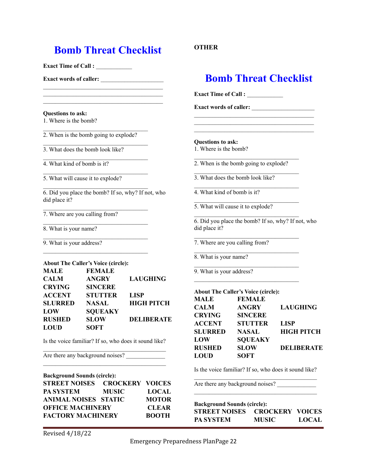# **Bomb Threat Checklist**

**Exact Time of Call :** \_\_\_\_\_\_\_\_\_\_\_\_

**Exact words of caller:** \_\_\_\_\_\_\_\_\_\_\_\_\_\_\_\_\_\_\_\_\_

#### **Questions to ask:**

1. Where is the bomb?

2. When is the bomb going to explode?

3. What does the bomb look like?

4. What kind of bomb is it?

5. What will cause it to explode?

6. Did you place the bomb? If so, why? If not, who did place it?

7. Where are you calling from?

8. What is your name?

9. What is your address?

|                | <b>About The Caller's Voice (circle):</b> |                   |
|----------------|-------------------------------------------|-------------------|
| <b>MALE</b>    | <b>FEMALE</b>                             |                   |
| <b>CALM</b>    | <b>ANGRY</b>                              | <b>LAUGHING</b>   |
| <b>CRYING</b>  | <b>SINCERE</b>                            |                   |
| <b>ACCENT</b>  | <b>STUTTER</b>                            | <b>LISP</b>       |
| <b>SLURRED</b> | <b>NASAL</b>                              | <b>HIGH PITCH</b> |
| LOW            | <b>SQUEAKY</b>                            |                   |
| <b>RUSHED</b>  | <b>SLOW</b>                               | <b>DELIBERATE</b> |
| LOUD           | <b>SOFT</b>                               |                   |

Is the voice familiar? If so, who does it sound like?

Are there any background noises?

**Background Sounds (circle): STREET NOISES CROCKERY VOICES PA SYSTEM MUSIC LOCAL ANIMAL NOISES STATIC MOTOR OFFICE MACHINERY CLEAR FACTORY MACHINERY BOOTH**

#### **OTHER**

# **Bomb Threat Checklist**

**Exact Time of Call :** \_\_\_\_\_\_\_\_\_\_\_\_

**Exact words of caller:** \_\_\_\_\_\_\_\_\_\_\_\_\_\_\_\_\_\_\_\_\_

**Questions to ask:**

1. Where is the bomb?

2. When is the bomb going to explode?

3. What does the bomb look like?

4. What kind of bomb is it?

5. What will cause it to explode?

6. Did you place the bomb? If so, why? If not, who did place it?

7. Where are you calling from?

8. What is your name?

9. What is your address?

**About The Caller's Voice (circle):**

| <b>MALE</b>    | <b>FEMALE</b>  |                   |
|----------------|----------------|-------------------|
| <b>CALM</b>    | <b>ANGRY</b>   | <b>LAUGHING</b>   |
| <b>CRYING</b>  | <b>SINCERE</b> |                   |
| <b>ACCENT</b>  | <b>STUTTER</b> | <b>LISP</b>       |
| <b>SLURRED</b> | <b>NASAL</b>   | <b>HIGH PITCH</b> |
| LOW            | <b>SQUEAKY</b> |                   |
| <b>RUSHED</b>  | <b>SLOW</b>    | <b>DELIBERATE</b> |
| LOUD           | <b>SOFT</b>    |                   |
|                |                |                   |

Is the voice familiar? If so, who does it sound like?

Are there any background noises? \_\_\_\_\_\_\_\_\_\_\_\_\_

| <b>Background Sounds (circle):</b> |              |              |  |
|------------------------------------|--------------|--------------|--|
| STREET NOISES CROCKERY VOICES      |              |              |  |
| <b>PA SYSTEM</b>                   | <b>MUSIC</b> | <b>LOCAL</b> |  |

Revised 4/18/22

Emergency Preparedness PlanPage 22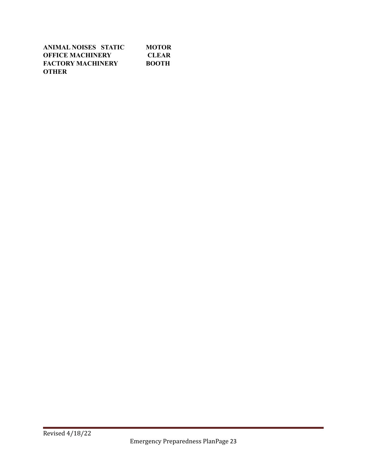| ANIMAL NOISES STATIC     | MOTOR        |
|--------------------------|--------------|
| <b>OFFICE MACHINERY</b>  | <b>CLEAR</b> |
| <b>FACTORY MACHINERY</b> | <b>BOOTH</b> |
| <b>OTHER</b>             |              |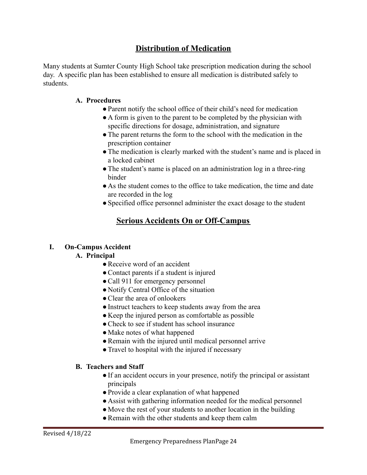## **Distribution of Medication**

Many students at Sumter County High School take prescription medication during the school day. A specific plan has been established to ensure all medication is distributed safely to students.

#### **A. Procedures**

- ●Parent notify the school office of their child's need for medication
- A form is given to the parent to be completed by the physician with specific directions for dosage, administration, and signature
- The parent returns the form to the school with the medication in the prescription container
- The medication is clearly marked with the student's name and is placed in a locked cabinet
- The student's name is placed on an administration log in a three-ring binder
- As the student comes to the office to take medication, the time and date are recorded in the log
- Specified office personnel administer the exact dosage to the student

## **Serious Accidents On or Off-Campus**

#### **I. On-Campus Accident**

#### **A. Principal**

- Receive word of an accident
- Contact parents if a student is injured
- Call 911 for emergency personnel
- Notify Central Office of the situation
- ●Clear the area of onlookers
- Instruct teachers to keep students away from the area
- Keep the injured person as comfortable as possible
- Check to see if student has school insurance
- Make notes of what happened
- Remain with the injured until medical personnel arrive
- Travel to hospital with the injured if necessary

#### **B. Teachers and Staff**

- ●If an accident occurs in your presence, notify the principal or assistant principals
- ●Provide a clear explanation of what happened
- Assist with gathering information needed for the medical personnel
- Move the rest of your students to another location in the building
- Remain with the other students and keep them calm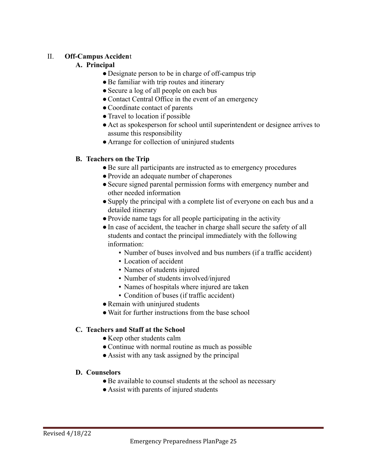#### II. **Off-Campus Acciden**t

#### **A. Principal**

- Designate person to be in charge of off-campus trip
- Be familiar with trip routes and itinerary
- Secure a log of all people on each bus
- Contact Central Office in the event of an emergency
- ●Coordinate contact of parents
- Travel to location if possible
- Act as spokesperson for school until superintendent or designee arrives to assume this responsibility
- Arrange for collection of uninjured students

#### **B. Teachers on the Trip**

- ●Be sure all participants are instructed as to emergency procedures
- ●Provide an adequate number of chaperones
- Secure signed parental permission forms with emergency number and other needed information
- ●Supply the principal with a complete list of everyone on each bus and a detailed itinerary
- ●Provide name tags for all people participating in the activity
- ●In case of accident, the teacher in charge shall secure the safety of all students and contact the principal immediately with the following information:
	- Number of buses involved and bus numbers (if a traffic accident)
	- Location of accident
	- Names of students injured
	- Number of students involved/injured
	- Names of hospitals where injured are taken
	- Condition of buses (if traffic accident)
- Remain with uninjured students
- Wait for further instructions from the base school

#### **C. Teachers and Staff at the School**

- Keep other students calm
- Continue with normal routine as much as possible
- Assist with any task assigned by the principal

#### **D. Counselors**

- Be available to counsel students at the school as necessary
- Assist with parents of injured students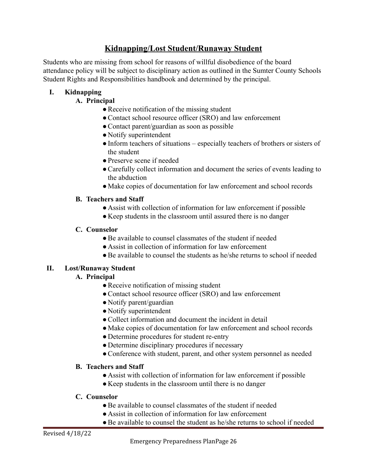## **Kidnapping/Lost Student/Runaway Student**

Students who are missing from school for reasons of willful disobedience of the board attendance policy will be subject to disciplinary action as outlined in the Sumter County Schools Student Rights and Responsibilities handbook and determined by the principal.

## **I. Kidnapping**

## **A. Principal**

- Receive notification of the missing student
- Contact school resource officer (SRO) and law enforcement
- Contact parent/guardian as soon as possible
- Notify superintendent
- Inform teachers of situations especially teachers of brothers or sisters of the student
- ●Preserve scene if needed
- ●Carefully collect information and document the series of events leading to the abduction
- ●Make copies of documentation for law enforcement and school records

## **B. Teachers and Staff**

- Assist with collection of information for law enforcement if possible
- Keep students in the classroom until assured there is no danger

## **C. Counselor**

- Be available to counsel classmates of the student if needed
- Assist in collection of information for law enforcement
- ●Be available to counsel the students as he/she returns to school if needed

## **II. Lost/Runaway Student**

## **A. Principal**

- Receive notification of missing student
- Contact school resource officer (SRO) and law enforcement
- Notify parent/guardian
- Notify superintendent
- Collect information and document the incident in detail
- ●Make copies of documentation for law enforcement and school records
- Determine procedures for student re-entry
- Determine disciplinary procedures if necessary
- Conference with student, parent, and other system personnel as needed

## **B. Teachers and Staff**

- Assist with collection of information for law enforcement if possible
- Keep students in the classroom until there is no danger

#### **C. Counselor**

- Be available to counsel classmates of the student if needed
- Assist in collection of information for law enforcement
- ●Be available to counsel the student as he/she returns to school if needed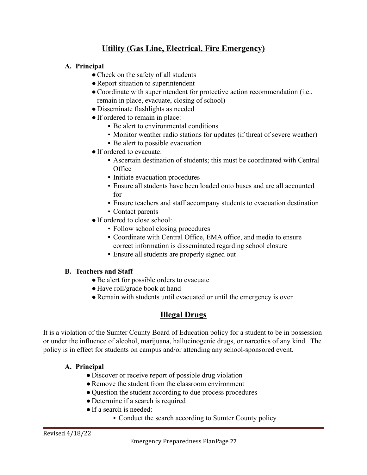# **Utility (Gas Line, Electrical, Fire Emergency)**

#### **A. Principal**

- Check on the safety of all students
- Report situation to superintendent
- ●Coordinate with superintendent for protective action recommendation (i.e., remain in place, evacuate, closing of school)
- Disseminate flashlights as needed
- ●If ordered to remain in place:
	- Be alert to environmental conditions
	- Monitor weather radio stations for updates (if threat of severe weather)
	- Be alert to possible evacuation
- ●If ordered to evacuate:
	- Ascertain destination of students; this must be coordinated with Central **Office**
	- Initiate evacuation procedures
	- Ensure all students have been loaded onto buses and are all accounted for
	- Ensure teachers and staff accompany students to evacuation destination
	- Contact parents
- If ordered to close school:
	- Follow school closing procedures
	- Coordinate with Central Office, EMA office, and media to ensure correct information is disseminated regarding school closure
	- Ensure all students are properly signed out

#### **B. Teachers and Staff**

- Be alert for possible orders to evacuate
- Have roll/grade book at hand
- Remain with students until evacuated or until the emergency is over

## **Illegal Drugs**

It is a violation of the Sumter County Board of Education policy for a student to be in possession or under the influence of alcohol, marijuana, hallucinogenic drugs, or narcotics of any kind. The policy is in effect for students on campus and/or attending any school-sponsored event.

#### **A. Principal**

- Discover or receive report of possible drug violation
- Remove the student from the classroom environment
- Question the student according to due process procedures
- Determine if a search is required
- ●If a search is needed:
	- Conduct the search according to Sumter County policy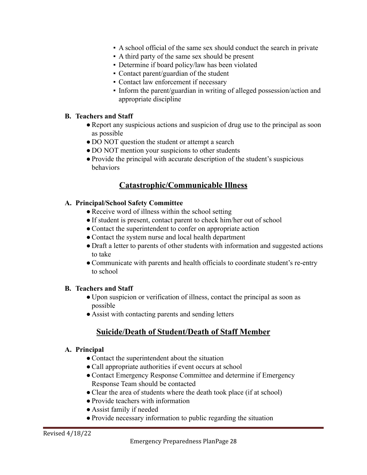- A school official of the same sex should conduct the search in private
- A third party of the same sex should be present
- Determine if board policy/law has been violated
- Contact parent/guardian of the student
- Contact law enforcement if necessary
- Inform the parent/guardian in writing of alleged possession/action and appropriate discipline

#### **B. Teachers and Staff**

- ●Report any suspicious actions and suspicion of drug use to the principal as soon as possible
- DO NOT question the student or attempt a search
- DO NOT mention your suspicions to other students
- Provide the principal with accurate description of the student's suspicious behaviors

## **Catastrophic/Communicable Illness**

#### **A. Principal/School Safety Committee**

- Receive word of illness within the school setting
- If student is present, contact parent to check him/her out of school
- Contact the superintendent to confer on appropriate action
- ●Contact the system nurse and local health department
- Draft a letter to parents of other students with information and suggested actions to take
- ●Communicate with parents and health officials to coordinate student's re-entry to school

#### **B. Teachers and Staff**

- Upon suspicion or verification of illness, contact the principal as soon as possible
- Assist with contacting parents and sending letters

## **Suicide/Death of Student/Death of Staff Member**

#### **A. Principal**

- Contact the superintendent about the situation
- Call appropriate authorities if event occurs at school
- Contact Emergency Response Committee and determine if Emergency Response Team should be contacted
- Clear the area of students where the death took place (if at school)
- Provide teachers with information
- Assist family if needed
- ●Provide necessary information to public regarding the situation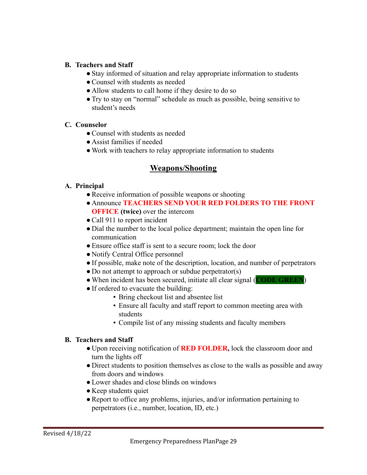#### **B. Teachers and Staff**

- Stay informed of situation and relay appropriate information to students
- Counsel with students as needed
- Allow students to call home if they desire to do so
- ●Try to stay on "normal" schedule as much as possible, being sensitive to student's needs

#### **C. Counselor**

- ●Counsel with students as needed
- Assist families if needed
- Work with teachers to relay appropriate information to students

## **Weapons/Shooting**

#### **A. Principal**

- Receive information of possible weapons or shooting
- Announce **TEACHERS SEND YOUR RED FOLDERS TO THE FRONT OFFICE (twice)** over the intercom
- Call 911 to report incident
- Dial the number to the local police department; maintain the open line for communication
- Ensure office staff is sent to a secure room; lock the door
- Notify Central Office personnel
- ●If possible, make note of the description, location, and number of perpetrators
- Do not attempt to approach or subdue perpetrator(s)
- ●When incident has been secured, initiate all clear signal (**CODE GREEN**)
- ●If ordered to evacuate the building:
	- Bring checkout list and absentee list
	- Ensure all faculty and staff report to common meeting area with students
	- Compile list of any missing students and faculty members

#### **B. Teachers and Staff**

- Upon receiving notification of **RED FOLDER,** lock the classroom door and turn the lights off
- Direct students to position themselves as close to the walls as possible and away from doors and windows
- ●Lower shades and close blinds on windows
- Keep students quiet
- Report to office any problems, injuries, and/or information pertaining to perpetrators (i.e., number, location, ID, etc.)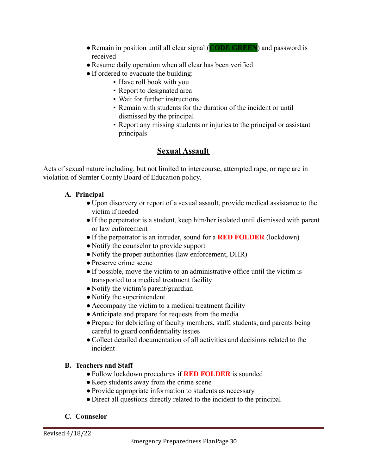- ●Remain in position until all clear signal (**CODE GREEN**) and password is received
- Resume daily operation when all clear has been verified
- If ordered to evacuate the building:
	- Have roll book with you
	- Report to designated area
	- Wait for further instructions
	- Remain with students for the duration of the incident or until dismissed by the principal
	- Report any missing students or injuries to the principal or assistant principals

# **Sexual Assault**

Acts of sexual nature including, but not limited to intercourse, attempted rape, or rape are in violation of Sumter County Board of Education policy.

## **A. Principal**

- Upon discovery or report of a sexual assault, provide medical assistance to the victim if needed
- ●If the perpetrator is a student, keep him/her isolated until dismissed with parent or law enforcement
- ●If the perpetrator is an intruder, sound for a **RED FOLDER** (lockdown)
- Notify the counselor to provide support
- Notify the proper authorities (law enforcement, DHR)
- ●Preserve crime scene
- ●If possible, move the victim to an administrative office until the victim is transported to a medical treatment facility
- Notify the victim's parent/guardian
- Notify the superintendent
- Accompany the victim to a medical treatment facility
- Anticipate and prepare for requests from the media
- Prepare for debriefing of faculty members, staff, students, and parents being careful to guard confidentiality issues
- ●Collect detailed documentation of all activities and decisions related to the incident

## **B. Teachers and Staff**

- ●Follow lockdown procedures if **RED FOLDER** is sounded
- Keep students away from the crime scene
- Provide appropriate information to students as necessary
- Direct all questions directly related to the incident to the principal

## **C. Counselor**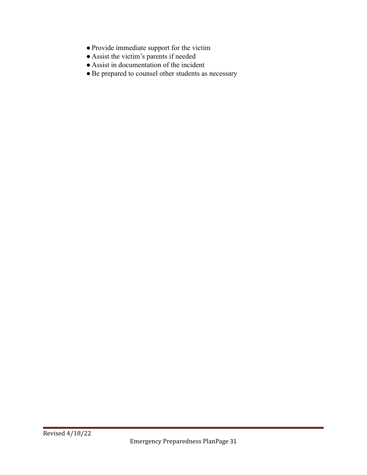- ●Provide immediate support for the victim
- Assist the victim's parents if needed
- Assist in documentation of the incident
- ●Be prepared to counsel other students as necessary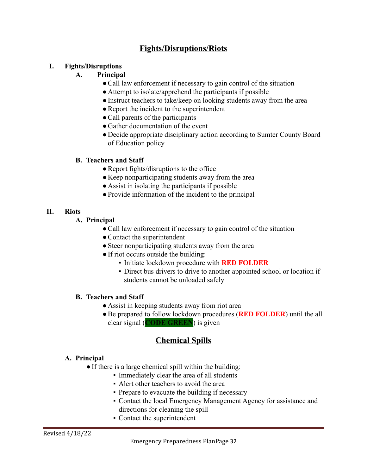# **Fights/Disruptions/Riots**

#### **I. Fights/Disruptions**

#### **A. Principal**

- Call law enforcement if necessary to gain control of the situation
- Attempt to isolate/apprehend the participants if possible
- Instruct teachers to take/keep on looking students away from the area
- Report the incident to the superintendent
- Call parents of the participants
- Gather documentation of the event
- Decide appropriate disciplinary action according to Sumter County Board of Education policy

#### **B. Teachers and Staff**

- Report fights/disruptions to the office
- Keep nonparticipating students away from the area
- Assist in isolating the participants if possible
- ●Provide information of the incident to the principal

#### **II. Riots**

- **A. Principal**
	- Call law enforcement if necessary to gain control of the situation
	- Contact the superintendent
	- Steer nonparticipating students away from the area
	- ●If riot occurs outside the building:
		- Initiate lockdown procedure with **RED FOLDER**
		- Direct bus drivers to drive to another appointed school or location if students cannot be unloaded safely

#### **B. Teachers and Staff**

- Assist in keeping students away from riot area
- ●Be prepared to follow lockdown procedures (**RED FOLDER**) until the all clear signal (**CODE GREEN**) is given

## **Chemical Spills**

#### **A. Principal**

- If there is a large chemical spill within the building:
	- Immediately clear the area of all students
	- Alert other teachers to avoid the area
	- Prepare to evacuate the building if necessary
	- Contact the local Emergency Management Agency for assistance and directions for cleaning the spill
	- Contact the superintendent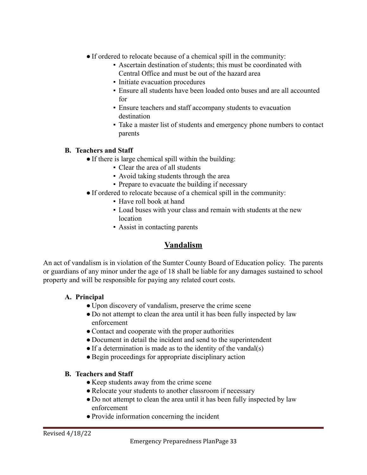- ●If ordered to relocate because of a chemical spill in the community:
	- Ascertain destination of students; this must be coordinated with Central Office and must be out of the hazard area
	- Initiate evacuation procedures
	- Ensure all students have been loaded onto buses and are all accounted for
	- Ensure teachers and staff accompany students to evacuation destination
	- Take a master list of students and emergency phone numbers to contact parents

#### **B. Teachers and Staff**

- If there is large chemical spill within the building:
	- Clear the area of all students
	- Avoid taking students through the area
	- Prepare to evacuate the building if necessary
- ●If ordered to relocate because of a chemical spill in the community:
	- Have roll book at hand
	- Load buses with your class and remain with students at the new location
	- Assist in contacting parents

## **Vandalism**

An act of vandalism is in violation of the Sumter County Board of Education policy. The parents or guardians of any minor under the age of 18 shall be liable for any damages sustained to school property and will be responsible for paying any related court costs.

#### **A. Principal**

- Upon discovery of vandalism, preserve the crime scene
- Do not attempt to clean the area until it has been fully inspected by law enforcement
- Contact and cooperate with the proper authorities
- Document in detail the incident and send to the superintendent
- If a determination is made as to the identity of the vandal(s)
- ●Begin proceedings for appropriate disciplinary action

#### **B. Teachers and Staff**

- Keep students away from the crime scene
- Relocate your students to another classroom if necessary
- Do not attempt to clean the area until it has been fully inspected by law enforcement
- ●Provide information concerning the incident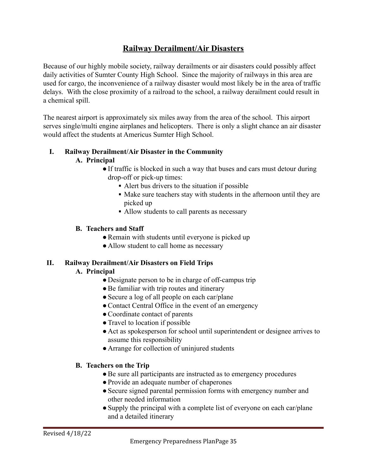# **Railway Derailment/Air Disasters**

Because of our highly mobile society, railway derailments or air disasters could possibly affect daily activities of Sumter County High School. Since the majority of railways in this area are used for cargo, the inconvenience of a railway disaster would most likely be in the area of traffic delays. With the close proximity of a railroad to the school, a railway derailment could result in a chemical spill.

The nearest airport is approximately six miles away from the area of the school. This airport serves single/multi engine airplanes and helicopters. There is only a slight chance an air disaster would affect the students at Americus Sumter High School.

#### **I. Railway Derailment/Air Disaster in the Community**

#### **A. Principal**

- **●**If traffic is blocked in such a way that buses and cars must detour during drop-off or pick-up times:
	- Alert bus drivers to the situation if possible
	- **▪** Make sure teachers stay with students in the afternoon until they are picked up
	- Allow students to call parents as necessary

#### **B. Teachers and Staff**

- **●**Remain with students until everyone is picked up
- **●** Allow student to call home as necessary

#### **II. Railway Derailment/Air Disasters on Field Trips**

#### **A. Principal**

- Designate person to be in charge of off-campus trip
- Be familiar with trip routes and itinerary
- Secure a log of all people on each car/plane
- Contact Central Office in the event of an emergency
- ●Coordinate contact of parents
- Travel to location if possible
- Act as spokesperson for school until superintendent or designee arrives to assume this responsibility
- Arrange for collection of uninjured students

#### **B. Teachers on the Trip**

- Be sure all participants are instructed as to emergency procedures
- ●Provide an adequate number of chaperones
- Secure signed parental permission forms with emergency number and other needed information
- Supply the principal with a complete list of everyone on each car/plane and a detailed itinerary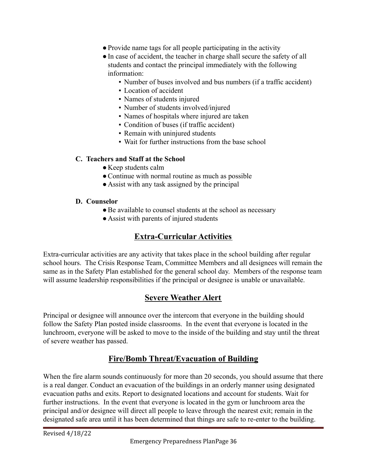- ●Provide name tags for all people participating in the activity
- ●In case of accident, the teacher in charge shall secure the safety of all students and contact the principal immediately with the following information:
	- Number of buses involved and bus numbers (if a traffic accident)
	- **Location of accident**
	- Names of students injured
	- Number of students involved/injured
	- Names of hospitals where injured are taken
	- Condition of buses (if traffic accident)
	- Remain with uninjured students
	- Wait for further instructions from the base school

#### **C. Teachers and Staff at the School**

- Keep students calm
- Continue with normal routine as much as possible
- Assist with any task assigned by the principal

#### **D. Counselor**

- ●Be available to counsel students at the school as necessary
- Assist with parents of injured students

# **Extra-Curricular Activities**

Extra-curricular activities are any activity that takes place in the school building after regular school hours. The Crisis Response Team, Committee Members and all designees will remain the same as in the Safety Plan established for the general school day. Members of the response team will assume leadership responsibilities if the principal or designee is unable or unavailable.

## **Severe Weather Alert**

Principal or designee will announce over the intercom that everyone in the building should follow the Safety Plan posted inside classrooms. In the event that everyone is located in the lunchroom, everyone will be asked to move to the inside of the building and stay until the threat of severe weather has passed.

# **Fire/Bomb Threat/Evacuation of Building**

When the fire alarm sounds continuously for more than 20 seconds, you should assume that there is a real danger. Conduct an evacuation of the buildings in an orderly manner using designated evacuation paths and exits. Report to designated locations and account for students. Wait for further instructions. In the event that everyone is located in the gym or lunchroom area the principal and/or designee will direct all people to leave through the nearest exit; remain in the designated safe area until it has been determined that things are safe to re-enter to the building.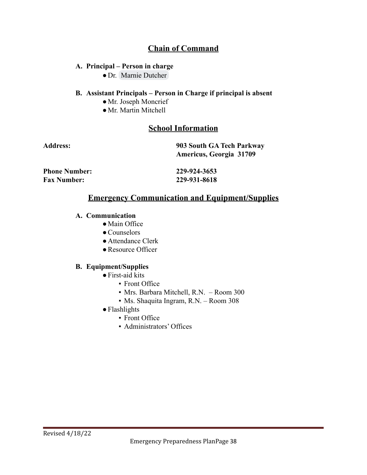# **Chain of Command**

#### **A. Principal – Person in charge**

● Dr. [Marnie Dutcher](mailto:mdutcher@sumterschools.org)

#### **B. Assistant Principals – Person in Charge if principal is absent**

- ●Mr. Joseph Moncrief
- ●Mr. Martin Mitchell

## **School Information**

| <b>Address:</b>      | 903 South GA Tech Parkway<br><b>Americus, Georgia 31709</b> |  |
|----------------------|-------------------------------------------------------------|--|
| <b>Phone Number:</b> | 229-924-3653                                                |  |
| <b>Fax Number:</b>   | 229-931-8618                                                |  |

# **Emergency Communication and Equipment/Supplies**

#### **A. Communication**

- ●Main Office
- ●Counselors
- Attendance Clerk
- Resource Officer

#### **B. Equipment/Supplies**

- ●First-aid kits
	- Front Office
	- Mrs. Barbara Mitchell, R.N. Room 300
	- Ms. Shaquita Ingram, R.N. Room 308
- ●Flashlights
	- Front Office
	- Administrators' Offices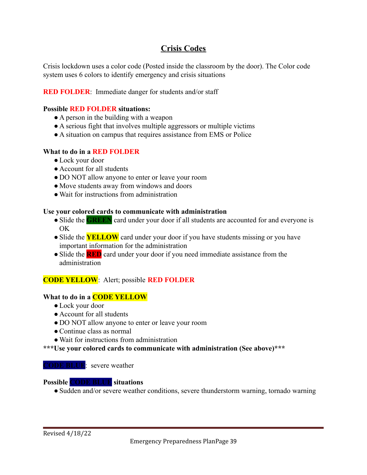## **Crisis Codes**

Crisis lockdown uses a color code (Posted inside the classroom by the door). The Color code system uses 6 colors to identify emergency and crisis situations

#### **RED FOLDER:** Immediate danger for students and/or staff

#### **Possible RED FOLDER situations:**

- A person in the building with a weapon
- A serious fight that involves multiple aggressors or multiple victims
- A situation on campus that requires assistance from EMS or Police

#### **What to do in a RED FOLDER**

- ●Lock your door
- Account for all students
- DO NOT allow anyone to enter or leave your room
- Move students away from windows and doors
- Wait for instructions from administration

#### **Use your colored cards to communicate with administration**

- Slide the **GREEN** card under your door if all students are accounted for and everyone is OK
- Slide the **YELLOW** card under your door if you have students missing or you have important information for the administration
- Slide the **RED** card under your door if you need immediate assistance from the administration

#### **CODE YELLOW**: Alert; possible **RED FOLDER**

#### **What to do in a CODE YELLOW**

- Lock your door
- Account for all students
- DO NOT allow anyone to enter or leave your room
- ●Continue class as normal
- ●Wait for instructions from administration

**\*\*\*Use your colored cards to communicate with administration (See above)\*\*\***

#### **CODE BLUE**: severe weather

#### **Possible CODE BLUE situations**

• Sudden and/or severe weather conditions, severe thunderstorm warning, tornado warning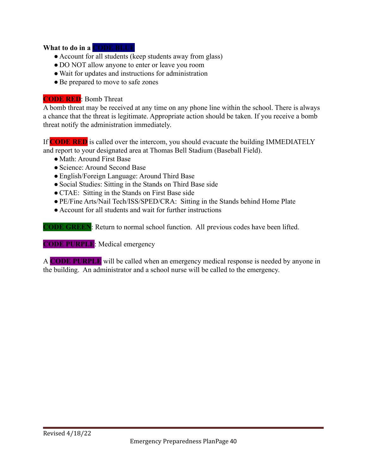#### **What to do in a CODE BLUE**

- Account for all students (keep students away from glass)
- DO NOT allow anyone to enter or leave you room
- Wait for updates and instructions for administration
- Be prepared to move to safe zones

#### **CODE RED**: Bomb Threat

A bomb threat may be received at any time on any phone line within the school. There is always a chance that the threat is legitimate. Appropriate action should be taken. If you receive a bomb threat notify the administration immediately.

If **CODE RED** is called over the intercom, you should evacuate the building IMMEDIATELY and report to your designated area at Thomas Bell Stadium (Baseball Field).

- ●Math: Around First Base
- ●Science: Around Second Base
- ●English/Foreign Language: Around Third Base
- ●Social Studies: Sitting in the Stands on Third Base side
- ●CTAE: Sitting in the Stands on First Base side
- ●PE/Fine Arts/Nail Tech/ISS/SPED/CRA: Sitting in the Stands behind Home Plate
- Account for all students and wait for further instructions

**CODE GREEN**: Return to normal school function. All previous codes have been lifted.

**CODE PURPLE**: Medical emergency

A **CODE PURPLE** will be called when an emergency medical response is needed by anyone in the building. An administrator and a school nurse will be called to the emergency.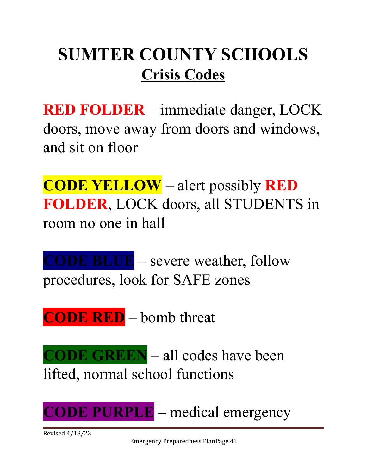# **SUMTER COUNTY SCHOOLS Crisis Codes**

**RED FOLDER** – immediate danger, LOCK doors, move away from doors and windows, and sit on floor

**CODE YELLOW** – alert possibly **RED FOLDER**, LOCK doors, all STUDENTS in room no one in hall

**CODE BLUE** – severe weather, follow procedures, look for SAFE zones

**CODE RED** – bomb threat

**CODE GREEN** – all codes have been lifted, normal school functions

**CODE PURPLE** – medical emergency

Revised 4/18/22

Emergency Preparedness PlanPage 41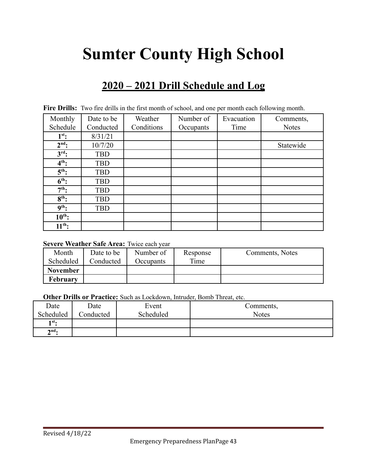# **Sumter County High School**

# **2020 – 2021 Drill Schedule and Log**

| Monthly           | Date to be | Weather    | Number of | Evacuation | Comments,    |
|-------------------|------------|------------|-----------|------------|--------------|
| Schedule          | Conducted  | Conditions | Occupants | Time       | <b>Notes</b> |
| $1^{st}$ :        | 8/31/21    |            |           |            |              |
| $2nd$ :           | 10/7/20    |            |           |            | Statewide    |
| $3rd$ :           | <b>TBD</b> |            |           |            |              |
| $4th$ :           | <b>TBD</b> |            |           |            |              |
| $5th$ :           | <b>TBD</b> |            |           |            |              |
| $6th$ :           | <b>TBD</b> |            |           |            |              |
| $7th$ :           | <b>TBD</b> |            |           |            |              |
| $8th$ :           | <b>TBD</b> |            |           |            |              |
| 9 <sup>th</sup> : | <b>TBD</b> |            |           |            |              |
| $10^{th}$ :       |            |            |           |            |              |
| $11^{th}$ :       |            |            |           |            |              |

Fire Drills: Two fire drills in the first month of school, and one per month each following month.

#### **Severe Weather Safe Area:** Twice each year

| Month           | Date to be | Number of | Response | Comments, Notes |
|-----------------|------------|-----------|----------|-----------------|
| Scheduled       | Conducted  | Occupants | Time     |                 |
| <b>November</b> |            |           |          |                 |
| February        |            |           |          |                 |

**Other Drills or Practice:** Such as Lockdown, Intruder, Bomb Threat, etc.

| Date              | Date      | Event     | Comments,    |
|-------------------|-----------|-----------|--------------|
| Scheduled         | Conducted | Scheduled | <b>Notes</b> |
| 1st.              |           |           |              |
| $2^{\text{nd}}$ . |           |           |              |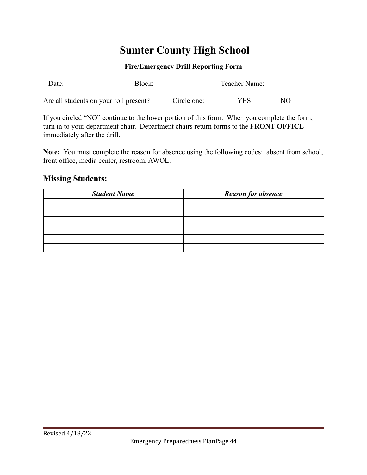# **Sumter County High School**

#### **Fire/Emergency Drill Reporting Form**

| Date:                                  | Block: |             | Teacher Name: |    |  |
|----------------------------------------|--------|-------------|---------------|----|--|
| Are all students on your roll present? |        | Circle one: | YES           | NО |  |

If you circled "NO" continue to the lower portion of this form. When you complete the form, turn in to your department chair. Department chairs return forms to the **FRONT OFFICE** immediately after the drill.

**Note:** You must complete the reason for absence using the following codes: absent from school, front office, media center, restroom, AWOL.

#### **Missing Students:**

| <b>Student Name</b> | <b>Reason for absence</b> |
|---------------------|---------------------------|
|                     |                           |
|                     |                           |
|                     |                           |
|                     |                           |
|                     |                           |
|                     |                           |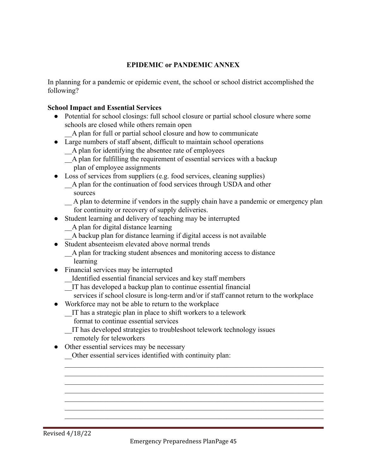#### **EPIDEMIC or PANDEMIC ANNEX**

In planning for a pandemic or epidemic event, the school or school district accomplished the following?

#### **School Impact and Essential Services**

- Potential for school closings: full school closure or partial school closure where some schools are closed while others remain open
	- \_\_A plan for full or partial school closure and how to communicate
- Large numbers of staff absent, difficult to maintain school operations
	- \_\_A plan for identifying the absentee rate of employees
	- \_\_A plan for fulfilling the requirement of essential services with a backup
		- plan of employee assignments
- Loss of services from suppliers (e.g. food services, cleaning supplies)
	- A plan for the continuation of food services through USDA and other sources

\_\_ A plan to determine if vendors in the supply chain have a pandemic or emergency plan for continuity or recovery of supply deliveries.

- Student learning and delivery of teaching may be interrupted
	- \_\_A plan for digital distance learning
	- \_\_A backup plan for distance learning if digital access is not available
- Student absenteeism elevated above normal trends
	- \_\_A plan for tracking student absences and monitoring access to distance learning
- Financial services may be interrupted
	- \_\_Identified essential financial services and key staff members
	- \_\_IT has developed a backup plan to continue essential financial
	- services if school closure is long-term and/or if staff cannot return to the workplace

 $\mathcal{L}_\text{max} = \mathcal{L}_\text{max} = \mathcal{L}_\text{max} = \mathcal{L}_\text{max} = \mathcal{L}_\text{max} = \mathcal{L}_\text{max} = \mathcal{L}_\text{max} = \mathcal{L}_\text{max} = \mathcal{L}_\text{max} = \mathcal{L}_\text{max} = \mathcal{L}_\text{max} = \mathcal{L}_\text{max} = \mathcal{L}_\text{max} = \mathcal{L}_\text{max} = \mathcal{L}_\text{max} = \mathcal{L}_\text{max} = \mathcal{L}_\text{max} = \mathcal{L}_\text{max} = \mathcal{$  $\mathcal{L}_\text{max} = \mathcal{L}_\text{max} = \mathcal{L}_\text{max} = \mathcal{L}_\text{max} = \mathcal{L}_\text{max} = \mathcal{L}_\text{max} = \mathcal{L}_\text{max} = \mathcal{L}_\text{max} = \mathcal{L}_\text{max} = \mathcal{L}_\text{max} = \mathcal{L}_\text{max} = \mathcal{L}_\text{max} = \mathcal{L}_\text{max} = \mathcal{L}_\text{max} = \mathcal{L}_\text{max} = \mathcal{L}_\text{max} = \mathcal{L}_\text{max} = \mathcal{L}_\text{max} = \mathcal{$  $\mathcal{L}_\text{max} = \mathcal{L}_\text{max} = \mathcal{L}_\text{max} = \mathcal{L}_\text{max} = \mathcal{L}_\text{max} = \mathcal{L}_\text{max} = \mathcal{L}_\text{max} = \mathcal{L}_\text{max} = \mathcal{L}_\text{max} = \mathcal{L}_\text{max} = \mathcal{L}_\text{max} = \mathcal{L}_\text{max} = \mathcal{L}_\text{max} = \mathcal{L}_\text{max} = \mathcal{L}_\text{max} = \mathcal{L}_\text{max} = \mathcal{L}_\text{max} = \mathcal{L}_\text{max} = \mathcal{$  $\mathcal{L}_\text{max} = \mathcal{L}_\text{max} = \mathcal{L}_\text{max} = \mathcal{L}_\text{max} = \mathcal{L}_\text{max} = \mathcal{L}_\text{max} = \mathcal{L}_\text{max} = \mathcal{L}_\text{max} = \mathcal{L}_\text{max} = \mathcal{L}_\text{max} = \mathcal{L}_\text{max} = \mathcal{L}_\text{max} = \mathcal{L}_\text{max} = \mathcal{L}_\text{max} = \mathcal{L}_\text{max} = \mathcal{L}_\text{max} = \mathcal{L}_\text{max} = \mathcal{L}_\text{max} = \mathcal{$  $\mathcal{L}_\text{max} = \mathcal{L}_\text{max} = \mathcal{L}_\text{max} = \mathcal{L}_\text{max} = \mathcal{L}_\text{max} = \mathcal{L}_\text{max} = \mathcal{L}_\text{max} = \mathcal{L}_\text{max} = \mathcal{L}_\text{max} = \mathcal{L}_\text{max} = \mathcal{L}_\text{max} = \mathcal{L}_\text{max} = \mathcal{L}_\text{max} = \mathcal{L}_\text{max} = \mathcal{L}_\text{max} = \mathcal{L}_\text{max} = \mathcal{L}_\text{max} = \mathcal{L}_\text{max} = \mathcal{$  $\mathcal{L}_\text{max} = \mathcal{L}_\text{max} = \mathcal{L}_\text{max} = \mathcal{L}_\text{max} = \mathcal{L}_\text{max} = \mathcal{L}_\text{max} = \mathcal{L}_\text{max} = \mathcal{L}_\text{max} = \mathcal{L}_\text{max} = \mathcal{L}_\text{max} = \mathcal{L}_\text{max} = \mathcal{L}_\text{max} = \mathcal{L}_\text{max} = \mathcal{L}_\text{max} = \mathcal{L}_\text{max} = \mathcal{L}_\text{max} = \mathcal{L}_\text{max} = \mathcal{L}_\text{max} = \mathcal{$  $\mathcal{L}_\text{max} = \mathcal{L}_\text{max} = \mathcal{L}_\text{max} = \mathcal{L}_\text{max} = \mathcal{L}_\text{max} = \mathcal{L}_\text{max} = \mathcal{L}_\text{max} = \mathcal{L}_\text{max} = \mathcal{L}_\text{max} = \mathcal{L}_\text{max} = \mathcal{L}_\text{max} = \mathcal{L}_\text{max} = \mathcal{L}_\text{max} = \mathcal{L}_\text{max} = \mathcal{L}_\text{max} = \mathcal{L}_\text{max} = \mathcal{L}_\text{max} = \mathcal{L}_\text{max} = \mathcal{$ 

- Workforce may not be able to return to the workplace
	- \_\_IT has a strategic plan in place to shift workers to a telework
		- format to continue essential services
	- \_\_IT has developed strategies to troubleshoot telework technology issues remotely for teleworkers
- Other essential services may be necessary
	- \_\_Other essential services identified with continuity plan: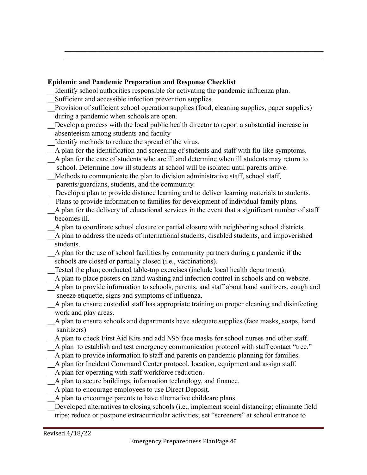### **Epidemic and Pandemic Preparation and Response Checklist**

- \_\_Identify school authorities responsible for activating the pandemic influenza plan.
- Sufficient and accessible infection prevention supplies.
- \_\_Provision of sufficient school operation supplies (food, cleaning supplies, paper supplies) during a pandemic when schools are open.

 $\mathcal{L}_\text{max} = \mathcal{L}_\text{max} = \mathcal{L}_\text{max} = \mathcal{L}_\text{max} = \mathcal{L}_\text{max} = \mathcal{L}_\text{max} = \mathcal{L}_\text{max} = \mathcal{L}_\text{max} = \mathcal{L}_\text{max} = \mathcal{L}_\text{max} = \mathcal{L}_\text{max} = \mathcal{L}_\text{max} = \mathcal{L}_\text{max} = \mathcal{L}_\text{max} = \mathcal{L}_\text{max} = \mathcal{L}_\text{max} = \mathcal{L}_\text{max} = \mathcal{L}_\text{max} = \mathcal{$  $\mathcal{L}_\text{max} = \mathcal{L}_\text{max} = \mathcal{L}_\text{max} = \mathcal{L}_\text{max} = \mathcal{L}_\text{max} = \mathcal{L}_\text{max} = \mathcal{L}_\text{max} = \mathcal{L}_\text{max} = \mathcal{L}_\text{max} = \mathcal{L}_\text{max} = \mathcal{L}_\text{max} = \mathcal{L}_\text{max} = \mathcal{L}_\text{max} = \mathcal{L}_\text{max} = \mathcal{L}_\text{max} = \mathcal{L}_\text{max} = \mathcal{L}_\text{max} = \mathcal{L}_\text{max} = \mathcal{$ 

- Develop a process with the local public health director to report a substantial increase in absenteeism among students and faculty
- \_\_Identify methods to reduce the spread of the virus.
- \_\_A plan for the identification and screening of students and staff with flu-like symptoms.
- \_\_A plan for the care of students who are ill and determine when ill students may return to school. Determine how ill students at school will be isolated until parents arrive.
- \_\_Methods to communicate the plan to division administrative staff, school staff, parents/guardians, students, and the community.
- Develop a plan to provide distance learning and to deliver learning materials to students.
- Plans to provide information to families for development of individual family plans.
- \_\_A plan for the delivery of educational services in the event that a significant number of staff becomes ill.
- \_\_A plan to coordinate school closure or partial closure with neighboring school districts.
- \_\_A plan to address the needs of international students, disabled students, and impoverished students.
- \_\_A plan for the use of school facilities by community partners during a pandemic if the schools are closed or partially closed (i.e., vaccinations).
- Tested the plan; conducted table-top exercises (include local health department).
- \_\_A plan to place posters on hand washing and infection control in schools and on website.
- \_\_A plan to provide information to schools, parents, and staff about hand sanitizers, cough and sneeze etiquette, signs and symptoms of influenza.
- \_\_A plan to ensure custodial staff has appropriate training on proper cleaning and disinfecting work and play areas.
- \_\_A plan to ensure schools and departments have adequate supplies (face masks, soaps, hand sanitizers)
- A plan to check First Aid Kits and add N95 face masks for school nurses and other staff.
- \_\_A plan to establish and test emergency communication protocol with staff contact "tree."
- \_\_A plan to provide information to staff and parents on pandemic planning for families.
- \_\_A plan for Incident Command Center protocol, location, equipment and assign staff.
- \_\_A plan for operating with staff workforce reduction.
- \_\_A plan to secure buildings, information technology, and finance.
- \_\_A plan to encourage employees to use Direct Deposit.
- \_\_A plan to encourage parents to have alternative childcare plans.
- Developed alternatives to closing schools (i.e., implement social distancing; eliminate field trips; reduce or postpone extracurricular activities; set "screeners" at school entrance to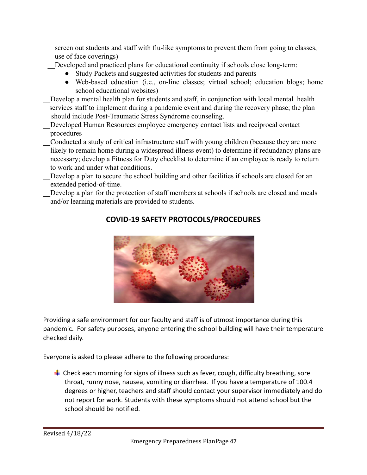screen out students and staff with flu-like symptoms to prevent them from going to classes, use of face coverings)

Developed and practiced plans for educational continuity if schools close long-term:

- Study Packets and suggested activities for students and parents
- Web-based education (i.e., on-line classes; virtual school; education blogs; home school educational websites)
- Develop a mental health plan for students and staff, in conjunction with local mental health services staff to implement during a pandemic event and during the recovery phase; the plan should include Post-Traumatic Stress Syndrome counseling.
- Developed Human Resources employee emergency contact lists and reciprocal contact procedures
- \_\_Conducted a study of critical infrastructure staff with young children (because they are more likely to remain home during a widespread illness event) to determine if redundancy plans are necessary; develop a Fitness for Duty checklist to determine if an employee is ready to return to work and under what conditions.
- Develop a plan to secure the school building and other facilities if schools are closed for an extended period-of-time.
- Develop a plan for the protection of staff members at schools if schools are closed and meals and/or learning materials are provided to students.



# **COVID-19 SAFETY PROTOCOLS/PROCEDURES**

Providing a safe environment for our faculty and staff is of utmost importance during this pandemic. For safety purposes, anyone entering the school building will have their temperature checked daily.

Everyone is asked to please adhere to the following procedures:

 $\ddot{+}$  Check each morning for signs of illness such as fever, cough, difficulty breathing, sore throat, runny nose, nausea, vomiting or diarrhea. If you have a temperature of 100.4 degrees or higher, teachers and staff should contact your supervisor immediately and do not report for work. Students with these symptoms should not attend school but the school should be notified.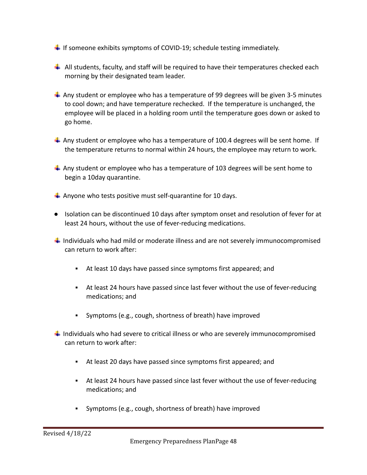- If someone exhibits symptoms of COVID-19; schedule testing immediately.
- $\ddot{+}$  All students, faculty, and staff will be required to have their temperatures checked each morning by their designated team leader.
- $\ddot{+}$  Any student or employee who has a temperature of 99 degrees will be given 3-5 minutes to cool down; and have temperature rechecked. If the temperature is unchanged, the employee will be placed in a holding room until the temperature goes down or asked to go home.
- Any student or employee who has a temperature of 100.4 degrees will be sent home. If the temperature returns to normal within 24 hours, the employee may return to work.
- $\ddot{+}$  Any student or employee who has a temperature of 103 degrees will be sent home to begin a 10day quarantine.
- $\downarrow$  Anyone who tests positive must self-quarantine for 10 days.
- Isolation can be discontinued 10 days after symptom onset and resolution of fever for at least 24 hours, without the use of fever-reducing medications.
- $\ddag$  Individuals who had mild or moderate illness and are not severely immunocompromised can return to work after:
	- At least 10 days have passed since symptoms first appeared; and
	- At least 24 hours have passed since last fever without the use of fever-reducing medications; and
	- Symptoms (e.g., cough, shortness of breath) have improved
- $\ddag$  Individuals who had severe to critical illness or who are severely immunocompromised can return to work after:
	- At least 20 days have passed since symptoms first appeared; and
	- At least 24 hours have passed since last fever without the use of fever-reducing medications; and
	- Symptoms (e.g., cough, shortness of breath) have improved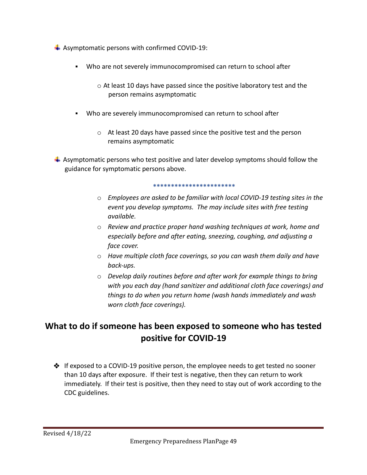- $\overline{\phantom{a}}$  Asymptomatic persons with confirmed COVID-19:
	- Who are not severely immunocompromised can return to school after
		- o At least 10 days have passed since the positive laboratory test and the person remains asymptomatic
	- Who are severely immunocompromised can return to school after
		- o At least 20 days have passed since the positive test and the person remains asymptomatic

 $\ddot{\phantom{1}}$  Asymptomatic persons who test positive and later develop symptoms should follow the guidance for symptomatic persons above.

#### **\*\*\*\*\*\*\*\*\*\*\*\*\*\*\*\*\*\*\*\*\*\*\***

- o *Employees are asked to be familiar with local COVID-19 testing sites in the event you develop symptoms. The may include sites with free testing available.*
- o *Review and practice proper hand washing techniques at work, home and especially before and after eating, sneezing, coughing, and adjusting a face cover.*
- o *Have multiple cloth face coverings, so you can wash them daily and have back-ups.*
- o *Develop daily routines before and after work for example things to bring with you each day (hand sanitizer and additional cloth face coverings) and things to do when you return home (wash hands immediately and wash worn cloth face coverings).*

# **What to do if someone has been exposed to someone who has tested positive for COVID-19**

❖ If exposed to a COVID-19 positive person, the employee needs to get tested no sooner than 10 days after exposure. If their test is negative, then they can return to work immediately. If their test is positive, then they need to stay out of work according to the CDC guidelines.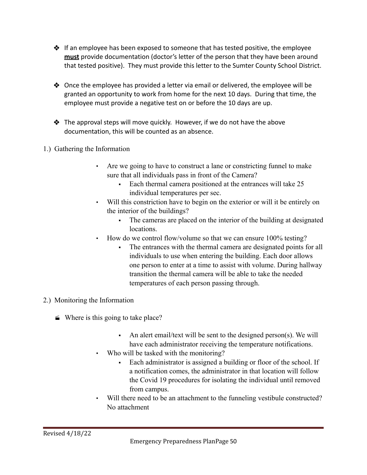- ❖ If an employee has been exposed to someone that has tested positive, the employee **must** provide documentation (doctor's letter of the person that they have been around that tested positive). They must provide this letter to the Sumter County School District.
- $\triangle$  Once the employee has provided a letter via email or delivered, the employee will be granted an opportunity to work from home for the next 10 days. During that time, the employee must provide a negative test on or before the 10 days are up.
- $\clubsuit$  The approval steps will move quickly. However, if we do not have the above documentation, this will be counted as an absence.
- 1.) Gathering the Information
	- Are we going to have to construct a lane or constricting funnel to make sure that all individuals pass in front of the Camera?
		- Each thermal camera positioned at the entrances will take 25 individual temperatures per sec.
	- Will this constriction have to begin on the exterior or will it be entirely on the interior of the buildings?
		- The cameras are placed on the interior of the building at designated locations.
	- How do we control flow/volume so that we can ensure 100% testing?
		- The entrances with the thermal camera are designated points for all individuals to use when entering the building. Each door allows one person to enter at a time to assist with volume. During hallway transition the thermal camera will be able to take the needed temperatures of each person passing through.
- 2.) Monitoring the Information
	- $\blacktriangleright$  Where is this going to take place?
		- $\blacksquare$  An alert email/text will be sent to the designed person(s). We will have each administrator receiving the temperature notifications.
		- Who will be tasked with the monitoring?
			- Each administrator is assigned a building or floor of the school. If a notification comes, the administrator in that location will follow the Covid 19 procedures for isolating the individual until removed from campus.
		- Will there need to be an attachment to the funneling vestibule constructed? No attachment